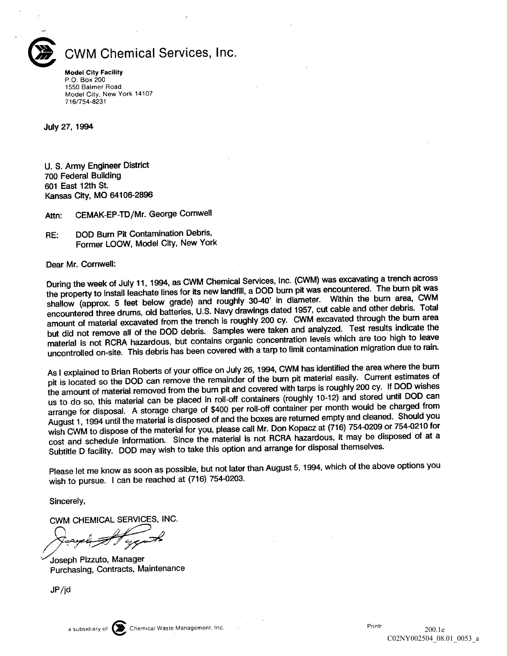

## CWM Chemical Services, Inc.

Model City Facility P.O Box 200 1550 Balmer Road Model City, New York 14107 716/754-8231

July 27, 1994

U. S. Army Engineer District 700 Federal Building <sup>601</sup> East 12th St Kansas City, MO 64106-2896

Attn: CEMAK-EP-TD/Mr. George Cornwell

RE: DOD Burn Pit Contamination Debris, Former LOOW, Model City, New York

Dear Mr. Cornwell:

During the week of July 11, 1994, as CWM Chemical Services, Inc. (CWM) was excavating a trench across the property to install leachate lines for its new landfill, a DOD burn pit was encountered. The burn pit was shallow (approx. 5 feet below grade) and roughly 30-40' in diameter. Within the burn area, CWM encountered three drums, old batteries, U.S. Navy drawings dated 1957, cut cable and other debris. Total amount of material excavated from the trench is roughly 200 cy. CWM excavated through the burn area but did not remove all of the DOD debris. Samples were taken and analyzed. Test results indicate the material is not RCRA hazardous, but contains organic concentration levels which are too high to leave uncontrolled on-site. This debris has been covered with a tarp to limit contamination migration due to rain.

As I explained to Brian Roberts of your office on July 26, 1994, CWM has identified the area where the burn pit is located so the DOD can remove the remainder of the burn pit material easily. Current estimates of the amount of material removed from the burn pit and covered with tarps is roughly <sup>200</sup> cy If DOD wishes us to do so, this material can be placed in roll-off containers (roughly 10-12) and stored until DOD can arrange for disposal. A storage charge of \$400 per roll-off container per month would be charged from August 1, 1994 until the material is disposed of and the boxes are returned empty and cleaned. Should you wish CWM to dispose of the material for you, please call Mr. Don Kopacz at (716) 754-0209 or 754-0210 for cost and schedule information. Since the material is not RCRA hazardous, it may be disposed of at a Subtitle D facility. DOD may wish to take this option and arrange for disposal themselves.

Please let me know as soon as possible, but not later than August 5, 1994, which of the above options you wish to pursue. I can be reached at (716) 754-0203.

Sincerely

CWM CHEMICAL SERVICES INC

Joseph Pizzuto, Manager Purchasing, Contracts, Maintenance

JP/jd